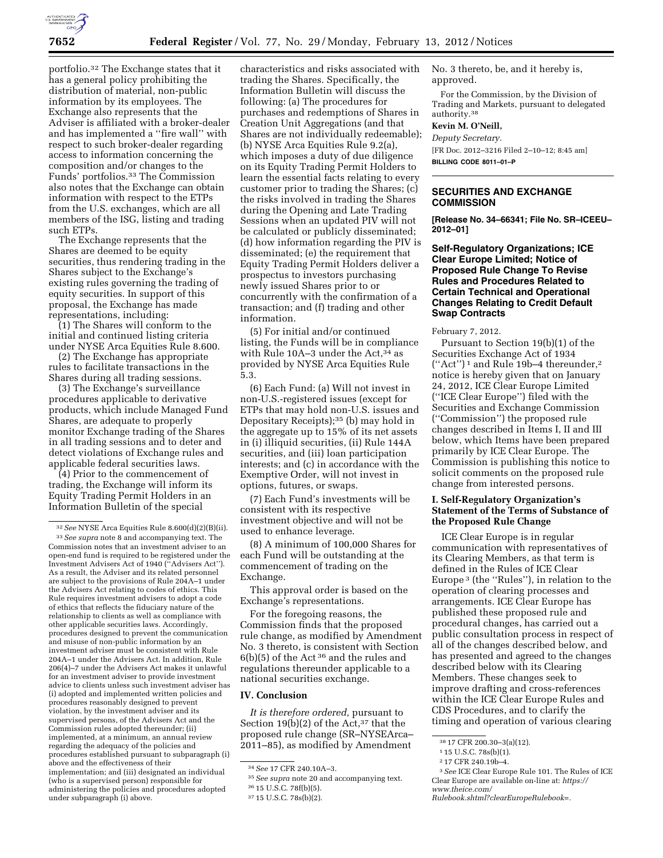

portfolio.32 The Exchange states that it has a general policy prohibiting the distribution of material, non-public information by its employees. The Exchange also represents that the Adviser is affiliated with a broker-dealer and has implemented a ''fire wall'' with respect to such broker-dealer regarding access to information concerning the composition and/or changes to the Funds' portfolios.33 The Commission also notes that the Exchange can obtain information with respect to the ETPs from the U.S. exchanges, which are all members of the ISG, listing and trading such ETPs.

The Exchange represents that the Shares are deemed to be equity securities, thus rendering trading in the Shares subject to the Exchange's existing rules governing the trading of equity securities. In support of this proposal, the Exchange has made representations, including:

(1) The Shares will conform to the initial and continued listing criteria under NYSE Arca Equities Rule 8.600.

(2) The Exchange has appropriate rules to facilitate transactions in the Shares during all trading sessions.

(3) The Exchange's surveillance procedures applicable to derivative products, which include Managed Fund Shares, are adequate to properly monitor Exchange trading of the Shares in all trading sessions and to deter and detect violations of Exchange rules and applicable federal securities laws.

(4) Prior to the commencement of trading, the Exchange will inform its Equity Trading Permit Holders in an Information Bulletin of the special

characteristics and risks associated with trading the Shares. Specifically, the Information Bulletin will discuss the following: (a) The procedures for purchases and redemptions of Shares in Creation Unit Aggregations (and that Shares are not individually redeemable); (b) NYSE Arca Equities Rule 9.2(a), which imposes a duty of due diligence on its Equity Trading Permit Holders to learn the essential facts relating to every customer prior to trading the Shares; (c) the risks involved in trading the Shares during the Opening and Late Trading Sessions when an updated PIV will not be calculated or publicly disseminated; (d) how information regarding the PIV is disseminated; (e) the requirement that Equity Trading Permit Holders deliver a prospectus to investors purchasing newly issued Shares prior to or concurrently with the confirmation of a transaction; and (f) trading and other information.

(5) For initial and/or continued listing, the Funds will be in compliance with Rule 10A–3 under the Act,<sup>34</sup> as provided by NYSE Arca Equities Rule 5.3.

(6) Each Fund: (a) Will not invest in non-U.S.-registered issues (except for ETPs that may hold non-U.S. issues and Depositary Receipts);35 (b) may hold in the aggregate up to 15% of its net assets in (i) illiquid securities, (ii) Rule 144A securities, and (iii) loan participation interests; and (c) in accordance with the Exemptive Order, will not invest in options, futures, or swaps.

(7) Each Fund's investments will be consistent with its respective investment objective and will not be used to enhance leverage.

(8) A minimum of 100,000 Shares for each Fund will be outstanding at the commencement of trading on the Exchange.

This approval order is based on the Exchange's representations.

For the foregoing reasons, the Commission finds that the proposed rule change, as modified by Amendment No. 3 thereto, is consistent with Section 6(b)(5) of the Act 36 and the rules and regulations thereunder applicable to a national securities exchange.

## **IV. Conclusion**

*It is therefore ordered,* pursuant to Section 19(b)(2) of the Act,  $37$  that the proposed rule change (SR–NYSEArca– 2011–85), as modified by Amendment

No. 3 thereto, be, and it hereby is, approved.

For the Commission, by the Division of Trading and Markets, pursuant to delegated authority.38

# **Kevin M. O'Neill,**

*Deputy Secretary.* 

[FR Doc. 2012–3216 Filed 2–10–12; 8:45 am] **BILLING CODE 8011–01–P** 

## **SECURITIES AND EXCHANGE COMMISSION**

**[Release No. 34–66341; File No. SR–ICEEU– 2012–01]** 

## **Self-Regulatory Organizations; ICE Clear Europe Limited; Notice of Proposed Rule Change To Revise Rules and Procedures Related to Certain Technical and Operational Changes Relating to Credit Default Swap Contracts**

February 7, 2012.

Pursuant to Section 19(b)(1) of the Securities Exchange Act of 1934 (''Act'') 1 and Rule 19b–4 thereunder,2 notice is hereby given that on January 24, 2012, ICE Clear Europe Limited (''ICE Clear Europe'') filed with the Securities and Exchange Commission (''Commission'') the proposed rule changes described in Items I, II and III below, which Items have been prepared primarily by ICE Clear Europe. The Commission is publishing this notice to solicit comments on the proposed rule change from interested persons.

## **I. Self-Regulatory Organization's Statement of the Terms of Substance of the Proposed Rule Change**

ICE Clear Europe is in regular communication with representatives of its Clearing Members, as that term is defined in the Rules of ICE Clear Europe 3 (the ''Rules''), in relation to the operation of clearing processes and arrangements. ICE Clear Europe has published these proposed rule and procedural changes, has carried out a public consultation process in respect of all of the changes described below, and has presented and agreed to the changes described below with its Clearing Members. These changes seek to improve drafting and cross-references within the ICE Clear Europe Rules and CDS Procedures, and to clarify the timing and operation of various clearing

<sup>32</sup>*See* NYSE Arca Equities Rule 8.600(d)(2)(B)(ii). 33*See supra* note 8 and accompanying text. The Commission notes that an investment adviser to an open-end fund is required to be registered under the Investment Advisers Act of 1940 (''Advisers Act''). As a result, the Adviser and its related personnel are subject to the provisions of Rule 204A–1 under the Advisers Act relating to codes of ethics. This Rule requires investment advisers to adopt a code of ethics that reflects the fiduciary nature of the relationship to clients as well as compliance with other applicable securities laws. Accordingly, procedures designed to prevent the communication and misuse of non-public information by an investment adviser must be consistent with Rule 204A–1 under the Advisers Act. In addition, Rule 206(4)–7 under the Advisers Act makes it unlawful for an investment adviser to provide investment advice to clients unless such investment adviser has (i) adopted and implemented written policies and procedures reasonably designed to prevent violation, by the investment adviser and its supervised persons, of the Advisers Act and the Commission rules adopted thereunder; (ii) implemented, at a minimum, an annual review regarding the adequacy of the policies and procedures established pursuant to subparagraph (i) above and the effectiveness of their implementation; and (iii) designated an individual (who is a supervised person) responsible for administering the policies and procedures adopted under subparagraph (i) above.

<sup>34</sup>*See* 17 CFR 240.10A–3.

<sup>35</sup>*See supra* note 20 and accompanying text.

<sup>36</sup> 15 U.S.C. 78f(b)(5).

<sup>37</sup> 15 U.S.C. 78s(b)(2).

<sup>38</sup> 17 CFR 200.30–3(a)(12).

<sup>1</sup> 15 U.S.C. 78s(b)(1).

<sup>2</sup> 17 CFR 240.19b–4.

<sup>3</sup>*See* ICE Clear Europe Rule 101. The Rules of ICE Clear Europe are available on-line at: *[https://](https://www.theice.com/Rulebook.shtml?clearEuropeRulebook=) [www.theice.com/](https://www.theice.com/Rulebook.shtml?clearEuropeRulebook=)* 

*[Rulebook.shtml?clearEuropeRulebook=.](https://www.theice.com/Rulebook.shtml?clearEuropeRulebook=)*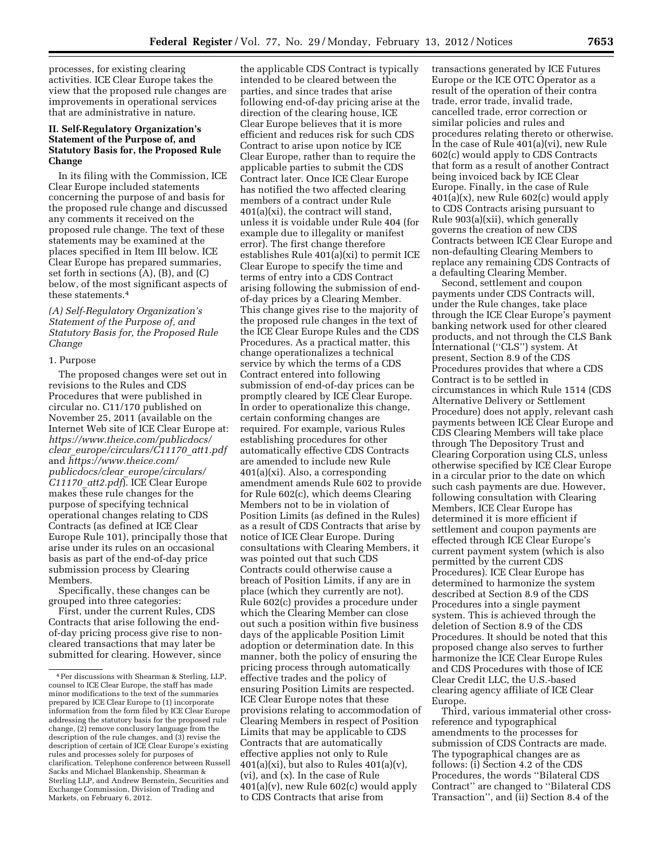processes, for existing clearing activities. ICE Clear Europe takes the view that the proposed rule changes are improvements in operational services that are administrative in nature.

## **II. Self-Regulatory Organization's Statement of the Purpose of, and Statutory Basis for, the Proposed Rule Change**

In its filing with the Commission, ICE Clear Europe included statements concerning the purpose of and basis for the proposed rule change and discussed any comments it received on the proposed rule change. The text of these statements may be examined at the places specified in Item III below. ICE Clear Europe has prepared summaries, set forth in sections (A), (B), and (C) below, of the most significant aspects of these statements.4

*(A) Self-Regulatory Organization's Statement of the Purpose of, and Statutory Basis for, the Proposed Rule Change* 

#### 1. Purpose

The proposed changes were set out in revisions to the Rules and CDS Procedures that were published in circular no. C11/170 published on November 25, 2011 (available on the Internet Web site of ICE Clear Europe at: *[https://www.theice.com/publicdocs/](https://www.theice.com/publicdocs/clear_europe/circulars/C11170_att1.pdf) clear*\_*[europe/circulars/C11170](https://www.theice.com/publicdocs/clear_europe/circulars/C11170_att1.pdf)*\_*att1.pdf*  and *[https://www.theice.com/](https://www.theice.com/publicdocs/clear_europe/circulars/C11170_att2.pdf)  publicdocs/clear*\_*[europe/circulars/](https://www.theice.com/publicdocs/clear_europe/circulars/C11170_att2.pdf) C11170*\_*[att2.pdf](https://www.theice.com/publicdocs/clear_europe/circulars/C11170_att2.pdf)*). ICE Clear Europe makes these rule changes for the purpose of specifying technical operational changes relating to CDS Contracts (as defined at ICE Clear Europe Rule 101), principally those that arise under its rules on an occasional basis as part of the end-of-day price submission process by Clearing Members.

Specifically, these changes can be grouped into three categories:

First, under the current Rules, CDS Contracts that arise following the endof-day pricing process give rise to noncleared transactions that may later be submitted for clearing. However, since

the applicable CDS Contract is typically intended to be cleared between the parties, and since trades that arise following end-of-day pricing arise at the direction of the clearing house, ICE Clear Europe believes that it is more efficient and reduces risk for such CDS Contract to arise upon notice by ICE Clear Europe, rather than to require the applicable parties to submit the CDS Contract later. Once ICE Clear Europe has notified the two affected clearing members of a contract under Rule  $401(a)(xi)$ , the contract will stand, unless it is voidable under Rule 404 (for example due to illegality or manifest error). The first change therefore establishes Rule 401(a)(xi) to permit ICE Clear Europe to specify the time and terms of entry into a CDS Contract arising following the submission of endof-day prices by a Clearing Member. This change gives rise to the majority of the proposed rule changes in the text of the ICE Clear Europe Rules and the CDS Procedures. As a practical matter, this change operationalizes a technical service by which the terms of a CDS Contract entered into following submission of end-of-day prices can be promptly cleared by ICE Clear Europe. In order to operationalize this change, certain conforming changes are required. For example, various Rules establishing procedures for other automatically effective CDS Contracts are amended to include new Rule 401(a)(xi). Also, a corresponding amendment amends Rule 602 to provide for Rule 602(c), which deems Clearing Members not to be in violation of Position Limits (as defined in the Rules) as a result of CDS Contracts that arise by notice of ICE Clear Europe. During consultations with Clearing Members, it was pointed out that such CDS Contracts could otherwise cause a breach of Position Limits, if any are in place (which they currently are not). Rule 602(c) provides a procedure under which the Clearing Member can close out such a position within five business days of the applicable Position Limit adoption or determination date. In this manner, both the policy of ensuring the pricing process through automatically effective trades and the policy of ensuring Position Limits are respected. ICE Clear Europe notes that these provisions relating to accommodation of Clearing Members in respect of Position Limits that may be applicable to CDS Contracts that are automatically effective applies not only to Rule  $401(a)(xi)$ , but also to Rules  $401(a)(v)$ , (vi), and (x). In the case of Rule  $401(a)(v)$ , new Rule  $602(c)$  would apply to CDS Contracts that arise from

transactions generated by ICE Futures Europe or the ICE OTC Operator as a result of the operation of their contra trade, error trade, invalid trade, cancelled trade, error correction or similar policies and rules and procedures relating thereto or otherwise. In the case of Rule 401(a)(vi), new Rule 602(c) would apply to CDS Contracts that form as a result of another Contract being invoiced back by ICE Clear Europe. Finally, in the case of Rule 401(a)(x), new Rule 602(c) would apply to CDS Contracts arising pursuant to Rule 903(a)(xii), which generally governs the creation of new CDS Contracts between ICE Clear Europe and non-defaulting Clearing Members to replace any remaining CDS Contracts of a defaulting Clearing Member.

Second, settlement and coupon payments under CDS Contracts will, under the Rule changes, take place through the ICE Clear Europe's payment banking network used for other cleared products, and not through the CLS Bank International (''CLS'') system. At present, Section 8.9 of the CDS Procedures provides that where a CDS Contract is to be settled in circumstances in which Rule 1514 (CDS Alternative Delivery or Settlement Procedure) does not apply, relevant cash payments between ICE Clear Europe and CDS Clearing Members will take place through The Depository Trust and Clearing Corporation using CLS, unless otherwise specified by ICE Clear Europe in a circular prior to the date on which such cash payments are due. However, following consultation with Clearing Members, ICE Clear Europe has determined it is more efficient if settlement and coupon payments are effected through ICE Clear Europe's current payment system (which is also permitted by the current CDS Procedures). ICE Clear Europe has determined to harmonize the system described at Section 8.9 of the CDS Procedures into a single payment system. This is achieved through the deletion of Section 8.9 of the CDS Procedures. It should be noted that this proposed change also serves to further harmonize the ICE Clear Europe Rules and CDS Procedures with those of ICE Clear Credit LLC, the U.S.-based clearing agency affiliate of ICE Clear Europe.

Third, various immaterial other crossreference and typographical amendments to the processes for submission of CDS Contracts are made. The typographical changes are as follows: (i) Section 4.2 of the CDS Procedures, the words ''Bilateral CDS Contract'' are changed to ''Bilateral CDS Transaction'', and (ii) Section 8.4 of the

<sup>4</sup>Per discussions with Shearman & Sterling, LLP, counsel to ICE Clear Europe, the staff has made minor modifications to the text of the summaries prepared by ICE Clear Europe to (1) incorporate information from the form filed by ICE Clear Europe addressing the statutory basis for the proposed rule change, (2) remove conclusory language from the description of the rule changes, and (3) revise the description of certain of ICE Clear Europe's existing rules and processes solely for purposes of clarification. Telephone conference between Russell Sacks and Michael Blankenship, Shearman & Sterling LLP, and Andrew Bernstein, Securities and Exchange Commission, Division of Trading and Markets, on February 6, 2012.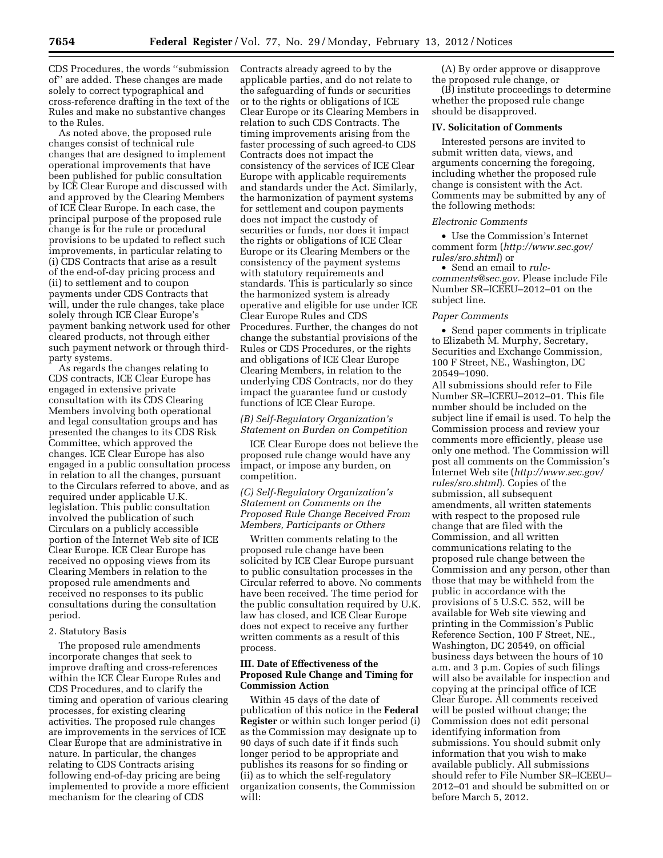CDS Procedures, the words ''submission of'' are added. These changes are made solely to correct typographical and cross-reference drafting in the text of the Rules and make no substantive changes to the Rules.

As noted above, the proposed rule changes consist of technical rule changes that are designed to implement operational improvements that have been published for public consultation by ICE Clear Europe and discussed with and approved by the Clearing Members of ICE Clear Europe. In each case, the principal purpose of the proposed rule change is for the rule or procedural provisions to be updated to reflect such improvements, in particular relating to (i) CDS Contracts that arise as a result of the end-of-day pricing process and (ii) to settlement and to coupon payments under CDS Contracts that will, under the rule changes, take place solely through ICE Clear Europe's payment banking network used for other cleared products, not through either such payment network or through thirdparty systems.

As regards the changes relating to CDS contracts, ICE Clear Europe has engaged in extensive private consultation with its CDS Clearing Members involving both operational and legal consultation groups and has presented the changes to its CDS Risk Committee, which approved the changes. ICE Clear Europe has also engaged in a public consultation process in relation to all the changes, pursuant to the Circulars referred to above, and as required under applicable U.K. legislation. This public consultation involved the publication of such Circulars on a publicly accessible portion of the Internet Web site of ICE Clear Europe. ICE Clear Europe has received no opposing views from its Clearing Members in relation to the proposed rule amendments and received no responses to its public consultations during the consultation period.

### 2. Statutory Basis

The proposed rule amendments incorporate changes that seek to improve drafting and cross-references within the ICE Clear Europe Rules and CDS Procedures, and to clarify the timing and operation of various clearing processes, for existing clearing activities. The proposed rule changes are improvements in the services of ICE Clear Europe that are administrative in nature. In particular, the changes relating to CDS Contracts arising following end-of-day pricing are being implemented to provide a more efficient mechanism for the clearing of CDS

Contracts already agreed to by the applicable parties, and do not relate to the safeguarding of funds or securities or to the rights or obligations of ICE Clear Europe or its Clearing Members in relation to such CDS Contracts. The timing improvements arising from the faster processing of such agreed-to CDS Contracts does not impact the consistency of the services of ICE Clear Europe with applicable requirements and standards under the Act. Similarly, the harmonization of payment systems for settlement and coupon payments does not impact the custody of securities or funds, nor does it impact the rights or obligations of ICE Clear Europe or its Clearing Members or the consistency of the payment systems with statutory requirements and standards. This is particularly so since the harmonized system is already operative and eligible for use under ICE Clear Europe Rules and CDS Procedures. Further, the changes do not change the substantial provisions of the Rules or CDS Procedures, or the rights and obligations of ICE Clear Europe Clearing Members, in relation to the underlying CDS Contracts, nor do they impact the guarantee fund or custody functions of ICE Clear Europe.

#### *(B) Self-Regulatory Organization's Statement on Burden on Competition*

ICE Clear Europe does not believe the proposed rule change would have any impact, or impose any burden, on competition.

*(C) Self-Regulatory Organization's Statement on Comments on the Proposed Rule Change Received From Members, Participants or Others* 

Written comments relating to the proposed rule change have been solicited by ICE Clear Europe pursuant to public consultation processes in the Circular referred to above. No comments have been received. The time period for the public consultation required by U.K. law has closed, and ICE Clear Europe does not expect to receive any further written comments as a result of this process.

### **III. Date of Effectiveness of the Proposed Rule Change and Timing for Commission Action**

Within 45 days of the date of publication of this notice in the **Federal Register** or within such longer period (i) as the Commission may designate up to 90 days of such date if it finds such longer period to be appropriate and publishes its reasons for so finding or (ii) as to which the self-regulatory organization consents, the Commission will:

(A) By order approve or disapprove the proposed rule change, or

(B) institute proceedings to determine whether the proposed rule change should be disapproved.

#### **IV. Solicitation of Comments**

Interested persons are invited to submit written data, views, and arguments concerning the foregoing, including whether the proposed rule change is consistent with the Act. Comments may be submitted by any of the following methods:

#### *Electronic Comments*

• Use the Commission's Internet comment form (*[http://www.sec.gov/](http://www.sec.gov/rules/sro.shtml)  [rules/sro.shtml](http://www.sec.gov/rules/sro.shtml)*) or

• Send an email to *[rule](mailto:rule-comments@sec.gov)[comments@sec.gov.](mailto:rule-comments@sec.gov)* Please include File Number SR–ICEEU–2012–01 on the subject line.

#### *Paper Comments*

• Send paper comments in triplicate to Elizabeth M. Murphy, Secretary, Securities and Exchange Commission, 100 F Street, NE., Washington, DC 20549–1090.

All submissions should refer to File Number SR–ICEEU–2012–01. This file number should be included on the subject line if email is used. To help the Commission process and review your comments more efficiently, please use only one method. The Commission will post all comments on the Commission's Internet Web site (*[http://www.sec.gov/](http://www.sec.gov/rules/sro.shtml)  [rules/sro.shtml](http://www.sec.gov/rules/sro.shtml)*). Copies of the submission, all subsequent amendments, all written statements with respect to the proposed rule change that are filed with the Commission, and all written communications relating to the proposed rule change between the Commission and any person, other than those that may be withheld from the public in accordance with the provisions of 5 U.S.C. 552, will be available for Web site viewing and printing in the Commission's Public Reference Section, 100 F Street, NE., Washington, DC 20549, on official business days between the hours of 10 a.m. and 3 p.m. Copies of such filings will also be available for inspection and copying at the principal office of ICE Clear Europe. All comments received will be posted without change; the Commission does not edit personal identifying information from submissions. You should submit only information that you wish to make available publicly. All submissions should refer to File Number SR–ICEEU– 2012–01 and should be submitted on or before March 5, 2012.